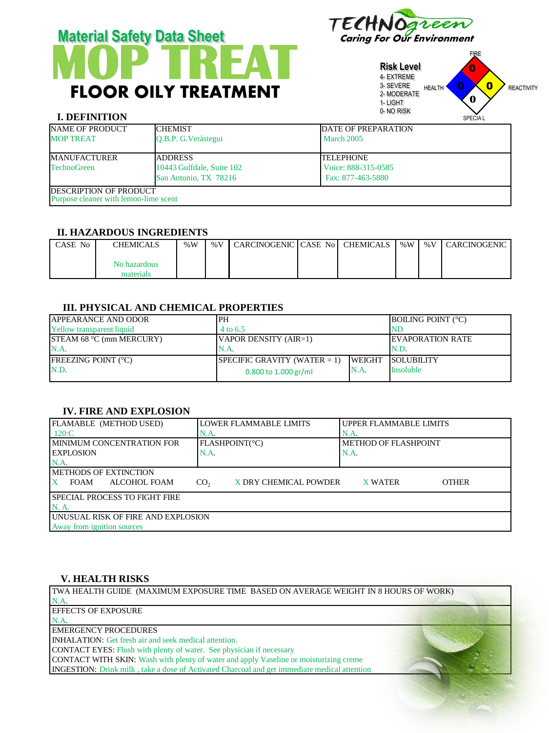# **MOP TREAT** FLOOR OILY TREATMENT **Material Safety Data Sheet** Caring For Our Environment



**Risk Level** 4- EXTREME 3- SEVERE 2- MODERATE 1- LIGHT 0- NO RISK FIRE HEALTH **U U REACTIVITY** 0 0  $\overline{\mathbf{0}}$ **0**

# **I. DEFINITION**

| I. DEFINITION                         |                           |                             | <b>SPECIAL</b> |
|---------------------------------------|---------------------------|-----------------------------|----------------|
| <b>NAME OF PRODUCT</b>                | <b>CHEMIST</b>            | <b>IDATE OF PREPARATION</b> |                |
| <b>MOP TREAT</b>                      | O.B.P. G. Verástegui      | March 2005                  |                |
| <b>MANUFACTURER</b>                   | <b>JADDRESS</b>           | <b>TELEPHONE</b>            |                |
| <b>TechnoGreen</b>                    | 10443 Gulfdale, Suite 102 | Voice: 888-315-0585         |                |
|                                       | San Antonio, TX 78216     | Fax: 877-463-5880           |                |
| <b>IDESCRIPTION OF PRODUCT</b>        |                           |                             |                |
| Purpose cleaner with lemon-lime scent |                           |                             |                |

#### **II. HAZARDOUS INGREDIENTS**

| CASE No | CHEMICALS    | % $W$ | %V CARCINOGENIC CASE No CHEMICALS |  | % $W$ | % $V$ | <b>CARCINOGENIC</b> |
|---------|--------------|-------|-----------------------------------|--|-------|-------|---------------------|
|         | No hazardous |       |                                   |  |       |       |                     |
|         | materials    |       |                                   |  |       |       |                     |

#### **III. PHYSICAL AND CHEMICAL PROPERTIES**

| <b>APPEARANCE AND ODOR</b>       | IPH                             |                          | <b>BOILING POINT (°C)</b> |  |
|----------------------------------|---------------------------------|--------------------------|---------------------------|--|
| <b>Yellow transparent liquid</b> | 4 to 6.5                        |                          | NE                        |  |
| STEAM 68 °C (mm MERCURY)         | VAPOR DENSITY (AIR=1)           | <b>IEVAPORATION RATE</b> |                           |  |
| N.A.                             | N.A.                            | N.D.                     |                           |  |
| <b>FREEZING POINT (°C)</b>       | SPECIFIC GRAVITY (WATER $= 1$ ) | <b>WEIGHT</b>            | <b>SOLUBILITY</b>         |  |
| N.D.                             | 0.800 to $1.000$ gr/ml          | N.A.                     | <b>Insoluble</b>          |  |

## **IV. FIRE AND EXPLOSION**

| FLAMABLE (METHOD USED)                | LOWER FLAMMABLE LIMITS                   | UPPER FLAMMABLE LIMITS         |  |  |  |
|---------------------------------------|------------------------------------------|--------------------------------|--|--|--|
| $120:$ C                              | N.A.                                     | $NA$ .                         |  |  |  |
| <b>IMINIMUM CONCENTRATION FOR</b>     | FLASHPOINT(°C)                           | METHOD OF FLASHPOINT           |  |  |  |
| <b>LEXPLOSION</b>                     | N.A.                                     | N.A.                           |  |  |  |
| N.A                                   |                                          |                                |  |  |  |
| <b>METHODS OF EXTINCTION</b>          |                                          |                                |  |  |  |
| ALCOHOL FOAM<br><b>FOAM</b>           | X DRY CHEMICAL POWDER<br>CO <sub>2</sub> | <b>OTHER</b><br><b>X WATER</b> |  |  |  |
| <b>ISPECIAL PROCESS TO FIGHT FIRE</b> |                                          |                                |  |  |  |
| N. A.                                 |                                          |                                |  |  |  |
| UNUSUAL RISK OF FIRE AND EXPLOSION    |                                          |                                |  |  |  |
| Away from ignition sources            |                                          |                                |  |  |  |

## **V. HEALTH RISKS**

TWA HEALTH GUIDE (MAXIMUM EXPOSURE TIME BASED ON AVERAGE WEIGHT IN 8 HOURS OF WORK) N.A. EFFECTS OF EXPOSURE N.A. EMERGENCY PROCEDURES INHALATION: Get fresh air and seek medical attention. CONTACT EYES: Flush with plenty of water. See physician if necessary CONTACT WITH SKIN: Wash with plenty of water and apply Vaseline or moisturizing creme INGESTION: Drink milk , take a dose of Activated Charcoal and get immediate medical attention